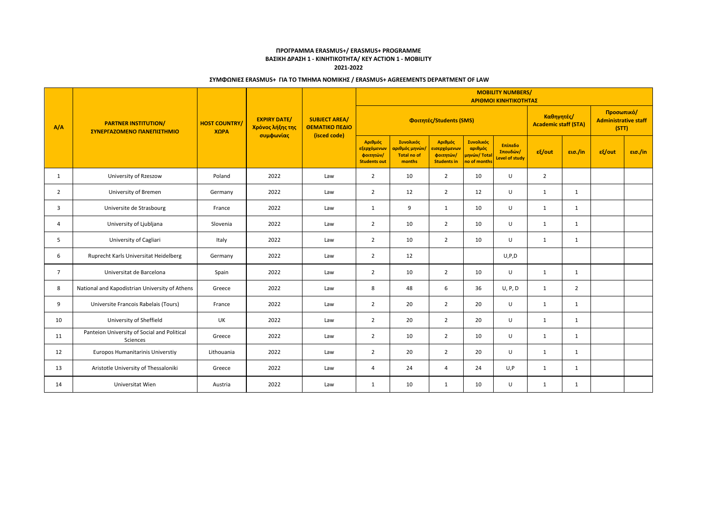|                | <b>PARTNER INSTITUTION/</b><br>ΣΥΝΕΡΓΑΖΟΜΕΝΟ ΠΑΝΕΠΙΣΤΗΜΙΟ | <b>HOST COUNTRY/</b><br>ΧΩРА |                                                      | <b>SUBJECT AREA/</b><br>ΘΕΜΑΤΙΚΟ ΠΕΔΙΟ<br>(isced code) | <b>MOBILITY NUMBERS/</b><br>ΑΡΙΘΜΟΙ ΚΙΝΗΤΙΚΟΤΗΤΑΣ          |                                                             |                                                                         |                                                                    |                                       |                  |                |        |         |  |
|----------------|-----------------------------------------------------------|------------------------------|------------------------------------------------------|--------------------------------------------------------|------------------------------------------------------------|-------------------------------------------------------------|-------------------------------------------------------------------------|--------------------------------------------------------------------|---------------------------------------|------------------|----------------|--------|---------|--|
| A/A            |                                                           |                              | <b>EXPIRY DATE/</b><br>Χρόνος λήξης της<br>συμφωνίας |                                                        |                                                            | Καθηγητές/<br><b>Academic staff (STA)</b>                   |                                                                         | Προσωπικό/<br><b>Administrative staff</b><br>(STT)                 |                                       |                  |                |        |         |  |
|                |                                                           |                              |                                                      |                                                        | Αριθμός<br>εξερχόμενων<br>φοιτητών/<br><b>Students out</b> | Συνολικός<br>αριθμός μηνών/<br><b>Total no of</b><br>months | Αριθμός<br><mark>εισερχόμενων</mark><br>φοιτητών/<br><b>Students in</b> | Συνολικός<br>αριθμός<br><mark>μηνών/ Tota</mark> l<br>no of months | Επίπεδο<br>Σπουδών/<br>Level of study | $\epsilon$ {/out | εισ./in        | εξ/out | εισ./in |  |
| 1              | University of Rzeszow                                     | Poland                       | 2022                                                 | Law                                                    | $\overline{2}$                                             | 10                                                          | $\overline{2}$                                                          | 10                                                                 | $\cup$                                | $\overline{2}$   |                |        |         |  |
| $\overline{2}$ | University of Bremen                                      | Germany                      | 2022                                                 | Law                                                    | $\overline{2}$                                             | 12                                                          | $\overline{2}$                                                          | 12                                                                 | U                                     | $\mathbf{1}$     | $\mathbf{1}$   |        |         |  |
| 3              | Universite de Strasbourg                                  | France                       | 2022                                                 | Law                                                    | 1                                                          | 9                                                           | $\mathbf{1}$                                                            | 10                                                                 | U                                     | 1                | 1              |        |         |  |
| 4              | University of Ljubljana                                   | Slovenia                     | 2022                                                 | Law                                                    | $\overline{2}$                                             | 10                                                          | $\overline{2}$                                                          | 10                                                                 | U                                     | 1                | 1              |        |         |  |
| 5              | University of Cagliari                                    | Italy                        | 2022                                                 | Law                                                    | $\overline{2}$                                             | 10                                                          | $\overline{2}$                                                          | 10                                                                 | U                                     | 1                | $\mathbf{1}$   |        |         |  |
| 6              | Ruprecht Karls Universitat Heidelberg                     | Germany                      | 2022                                                 | Law                                                    | $\overline{2}$                                             | 12                                                          |                                                                         |                                                                    | U, P, D                               |                  |                |        |         |  |
| $\overline{7}$ | Universitat de Barcelona                                  | Spain                        | 2022                                                 | Law                                                    | $\overline{2}$                                             | 10                                                          | $\overline{2}$                                                          | 10                                                                 | U                                     | 1                | $\mathbf{1}$   |        |         |  |
| 8              | National and Kapodistrian University of Athens            | Greece                       | 2022                                                 | Law                                                    | 8                                                          | 48                                                          | 6                                                                       | 36                                                                 | U, P, D                               | 1                | $\overline{2}$ |        |         |  |
| 9              | Universite Francois Rabelais (Tours)                      | France                       | 2022                                                 | Law                                                    | $\overline{2}$                                             | 20                                                          | $\overline{2}$                                                          | 20                                                                 | U                                     | 1                | $\mathbf{1}$   |        |         |  |
| 10             | University of Sheffield                                   | UK                           | 2022                                                 | Law                                                    | $\overline{2}$                                             | 20                                                          | $\overline{2}$                                                          | 20                                                                 | U                                     | 1                | $\mathbf{1}$   |        |         |  |
| 11             | Panteion University of Social and Political<br>Sciences   | Greece                       | 2022                                                 | Law                                                    | $\overline{2}$                                             | 10                                                          | $\overline{2}$                                                          | 10                                                                 | U                                     | 1                | 1              |        |         |  |
| 12             | Europos Humanitarinis Universtiy                          | Lithouania                   | 2022                                                 | Law                                                    | $\overline{2}$                                             | 20                                                          | $\overline{2}$                                                          | 20                                                                 | U                                     | 1                | $\mathbf{1}$   |        |         |  |
| 13             | Aristotle University of Thessaloniki                      | Greece                       | 2022                                                 | Law                                                    | $\overline{4}$                                             | 24                                                          | $\overline{4}$                                                          | 24                                                                 | U, P                                  | 1                | $\mathbf{1}$   |        |         |  |
| 14             | Universitat Wien                                          | Austria                      | 2022                                                 | Law                                                    | $\mathbf{1}$                                               | 10                                                          | 1                                                                       | 10                                                                 | $\cup$                                | 1                | $\mathbf{1}$   |        |         |  |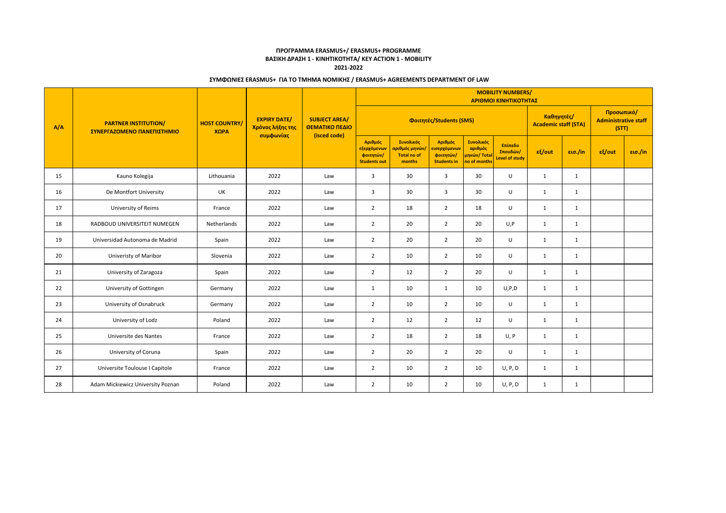|     | <b>PARTNER INSTITUTION/</b><br>ΣΥΝΕΡΓΑΖΟΜΕΝΟ ΠΑΝΕΠΙΣΤΗΜΙΟ | <b>HOST COUNTRY/</b><br>ΧΩРА | <b>EXPIRY DATE/</b><br>Χρόνος λήξης της<br>συμφωνίας | <b>SUBJECT AREA/</b><br>ΘΕΜΑΤΙΚΟ ΠΕΔΙΟ<br>(isced code) | <b>MOBILITY NUMBERS/</b><br>ΑΡΙΘΜΟΙ ΚΙΝΗΤΙΚΟΤΗΤΑΣ          |                                                             |                                                            |                                                      |                                              |              |              |           |         |  |  |
|-----|-----------------------------------------------------------|------------------------------|------------------------------------------------------|--------------------------------------------------------|------------------------------------------------------------|-------------------------------------------------------------|------------------------------------------------------------|------------------------------------------------------|----------------------------------------------|--------------|--------------|-----------|---------|--|--|
| A/A |                                                           |                              |                                                      |                                                        |                                                            | Καθηγητές/<br><b>Academic staff (STA)</b>                   |                                                            | Προσωπικό/<br><b>Administrative staff</b><br>(STT)   |                                              |              |              |           |         |  |  |
|     |                                                           |                              |                                                      |                                                        | Αριθμός<br>εξερχόμενων<br>φοιτητών/<br><b>Students out</b> | Συνολικός<br>αριθμός μηνών/<br><b>Total no of</b><br>months | Αριθμός<br>εισερχόμενων<br>φοιτητών/<br><b>Students in</b> | Συνολικός<br>αριθμός<br>μηνών/ Total<br>no of months | Επίπεδο<br>Σπουδών/<br><b>Level of study</b> | $ε$ {/out    | εισ./in      | $ε$ {/out | εισ./in |  |  |
| 15  | Kauno Kolegija                                            | Lithouania                   | 2022                                                 | Law                                                    | $\overline{3}$                                             | 30                                                          | $\overline{3}$                                             | 30                                                   | U                                            | 1            | 1            |           |         |  |  |
| 16  | De Montfort University                                    | UK                           | 2022                                                 | Law                                                    | $\overline{3}$                                             | 30                                                          | $\overline{3}$                                             | 30                                                   | U                                            | 1            | 1            |           |         |  |  |
| 17  | University of Reims                                       | France                       | 2022                                                 | Law                                                    | $\overline{2}$                                             | 18                                                          | $\overline{2}$                                             | 18                                                   | U                                            | 1            | $\mathbf{1}$ |           |         |  |  |
| 18  | RADBOUD UNIVERSITEIT NIJMEGEN                             | Netherlands                  | 2022                                                 | Law                                                    | $\overline{2}$                                             | 20                                                          | $\overline{2}$                                             | 20                                                   | U, P                                         | 1            | 1            |           |         |  |  |
| 19  | Universidad Autonoma de Madrid                            | Spain                        | 2022                                                 | Law                                                    | $\overline{2}$                                             | 20                                                          | $\overline{2}$                                             | 20                                                   | U                                            | $\mathbf{1}$ | 1            |           |         |  |  |
| 20  | Univeristy of Maribor                                     | Slovenia                     | 2022                                                 | Law                                                    | $\overline{2}$                                             | 10                                                          | 2                                                          | 10                                                   | U                                            | 1            | $\mathbf{1}$ |           |         |  |  |
| 21  | University of Zaragoza                                    | Spain                        | 2022                                                 | Law                                                    | $\overline{2}$                                             | 12                                                          | $\overline{2}$                                             | 20                                                   | U                                            | $\mathbf{1}$ | 1            |           |         |  |  |
| 22  | University of Gottingen                                   | Germany                      | 2022                                                 | Law                                                    | $\mathbf{1}$                                               | 10                                                          | $\mathbf{1}$                                               | 10                                                   | U, P, D                                      | $\mathbf{1}$ | $\mathbf{1}$ |           |         |  |  |
| 23  | University of Osnabruck                                   | Germany                      | 2022                                                 | Law                                                    | $\overline{2}$                                             | 10                                                          | $\overline{2}$                                             | 10                                                   | U                                            | 1            | 1            |           |         |  |  |
| 24  | University of Lodz                                        | Poland                       | 2022                                                 | Law                                                    | $\overline{2}$                                             | 12                                                          | $\overline{2}$                                             | 12                                                   | U                                            | 1            | 1            |           |         |  |  |
| 25  | Universite des Nantes                                     | France                       | 2022                                                 | Law                                                    | $\overline{2}$                                             | 18                                                          | $\overline{2}$                                             | 18                                                   | U, P                                         | 1            | $\mathbf{1}$ |           |         |  |  |
| 26  | University of Coruna                                      | Spain                        | 2022                                                 | Law                                                    | $\overline{2}$                                             | 20                                                          | $\overline{2}$                                             | 20                                                   | U                                            | 1            | 1            |           |         |  |  |
| 27  | Universite Toulouse I Capitole                            | France                       | 2022                                                 | Law                                                    | $\overline{2}$                                             | 10                                                          | $\overline{2}$                                             | 10                                                   | U, P, D                                      | 1            | $\mathbf{1}$ |           |         |  |  |
| 28  | Adam Mickiewicz University Poznan                         | Poland                       | 2022                                                 | Law                                                    | $\overline{2}$                                             | 10                                                          | $\overline{2}$                                             | 10                                                   | U, P, D                                      | 1            | $\mathbf{1}$ |           |         |  |  |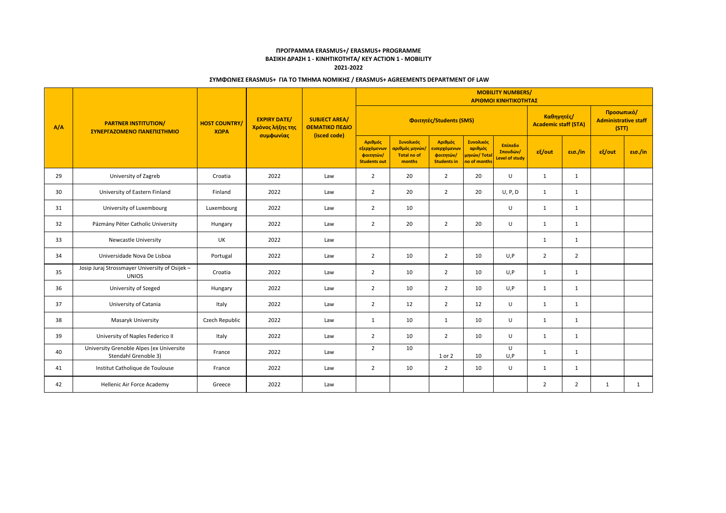|     | <b>PARTNER INSTITUTION/</b><br>ΣΥΝΕΡΓΑΖΟΜΕΝΟ ΠΑΝΕΠΙΣΤΗΜΙΟ        | <b>HOST COUNTRY/</b><br>XOPA |                                                      | <b>SUBJECT AREA/</b><br>ΘΕΜΑΤΙΚΟ ΠΕΔΙΟ<br>(isced code) | <b>MOBILITY NUMBERS/</b><br>ΑΡΙΘΜΟΙ ΚΙΝΗΤΙΚΟΤΗΤΑΣ          |                                                             |                                                                         |                                                                   |                                              |                |                |        |         |  |  |
|-----|------------------------------------------------------------------|------------------------------|------------------------------------------------------|--------------------------------------------------------|------------------------------------------------------------|-------------------------------------------------------------|-------------------------------------------------------------------------|-------------------------------------------------------------------|----------------------------------------------|----------------|----------------|--------|---------|--|--|
| A/A |                                                                  |                              | <b>EXPIRY DATE/</b><br>Χρόνος λήξης της<br>συμφωνίας |                                                        |                                                            | Καθηγητές/<br><b>Academic staff (STA)</b>                   |                                                                         | Προσωπικό/<br><b>Administrative staff</b><br>(STT)                |                                              |                |                |        |         |  |  |
|     |                                                                  |                              |                                                      |                                                        | Αριθμός<br>εξερχόμενων<br>φοιτητών/<br><b>Students out</b> | Συνολικός<br>αριθμός μηνών/<br><b>Total no of</b><br>months | Αριθμός<br><mark>εισερχόμενων</mark><br>φοιτητών/<br><b>Students in</b> | Συνολικός<br>αριθμός<br><mark>μηνών/ Total</mark><br>no of months | Επίπεδο<br>Σπουδών/<br><b>Level of study</b> | $ε$ {/out      | εισ./in        | εξ/out | εισ./in |  |  |
| 29  | University of Zagreb                                             | Croatia                      | 2022                                                 | Law                                                    | $\overline{2}$                                             | 20                                                          | $\overline{2}$                                                          | 20                                                                | U                                            | 1              | 1              |        |         |  |  |
| 30  | University of Eastern Finland                                    | Finland                      | 2022                                                 | Law                                                    | $\overline{2}$                                             | 20                                                          | $\overline{2}$                                                          | 20                                                                | U, P, D                                      | 1              | $\mathbf{1}$   |        |         |  |  |
| 31  | University of Luxembourg                                         | Luxembourg                   | 2022                                                 | Law                                                    | $\overline{2}$                                             | 10                                                          |                                                                         |                                                                   | U                                            | 1              | 1              |        |         |  |  |
| 32  | Pázmány Péter Catholic University                                | Hungary                      | 2022                                                 | Law                                                    | $\overline{2}$                                             | 20                                                          | $\overline{2}$                                                          | 20                                                                | $\cup$                                       | 1              | $\mathbf{1}$   |        |         |  |  |
| 33  | Newcastle University                                             | UK                           | 2022                                                 | Law                                                    |                                                            |                                                             |                                                                         |                                                                   |                                              | 1              | $\mathbf{1}$   |        |         |  |  |
| 34  | Universidade Nova De Lisboa                                      | Portugal                     | 2022                                                 | Law                                                    | $\overline{2}$                                             | 10                                                          | $\overline{2}$                                                          | 10                                                                | U, P                                         | $\overline{2}$ | $\overline{2}$ |        |         |  |  |
| 35  | Josip Juraj Strossmayer University of Osijek -<br><b>UNIOS</b>   | Croatia                      | 2022                                                 | Law                                                    | $\overline{2}$                                             | 10                                                          | $\overline{2}$                                                          | 10                                                                | U, P                                         | 1              | 1              |        |         |  |  |
| 36  | University of Szeged                                             | Hungary                      | 2022                                                 | Law                                                    | $\overline{2}$                                             | 10                                                          | $\overline{2}$                                                          | 10                                                                | U, P                                         | 1              | 1              |        |         |  |  |
| 37  | University of Catania                                            | Italy                        | 2022                                                 | Law                                                    | $\overline{2}$                                             | 12                                                          | $\overline{2}$                                                          | 12                                                                | U                                            | 1              | 1              |        |         |  |  |
| 38  | Masaryk University                                               | Czech Republic               | 2022                                                 | Law                                                    | $\mathbf{1}$                                               | 10                                                          | $\mathbf{1}$                                                            | 10                                                                | U                                            | 1              | $\mathbf{1}$   |        |         |  |  |
| 39  | University of Naples Federico II                                 | Italy                        | 2022                                                 | Law                                                    | $\overline{2}$                                             | 10                                                          | $\overline{2}$                                                          | 10                                                                | $\cup$                                       | 1              | $\mathbf{1}$   |        |         |  |  |
| 40  | University Grenoble Alpes (ex Universite<br>Stendahl Grenoble 3) | France                       | 2022                                                 | Law                                                    | $\overline{2}$                                             | 10                                                          | 1 or 2                                                                  | 10                                                                | U<br>U, P                                    | 1              | $\mathbf{1}$   |        |         |  |  |
| 41  | Institut Catholique de Toulouse                                  | France                       | 2022                                                 | Law                                                    | $\overline{2}$                                             | 10                                                          | $\overline{2}$                                                          | 10                                                                | U                                            | $\mathbf{1}$   | $\mathbf{1}$   |        |         |  |  |
| 42  | Hellenic Air Force Academy                                       | Greece                       | 2022                                                 | Law                                                    |                                                            |                                                             |                                                                         |                                                                   |                                              | $\overline{2}$ | $\overline{2}$ | 1      | 1       |  |  |